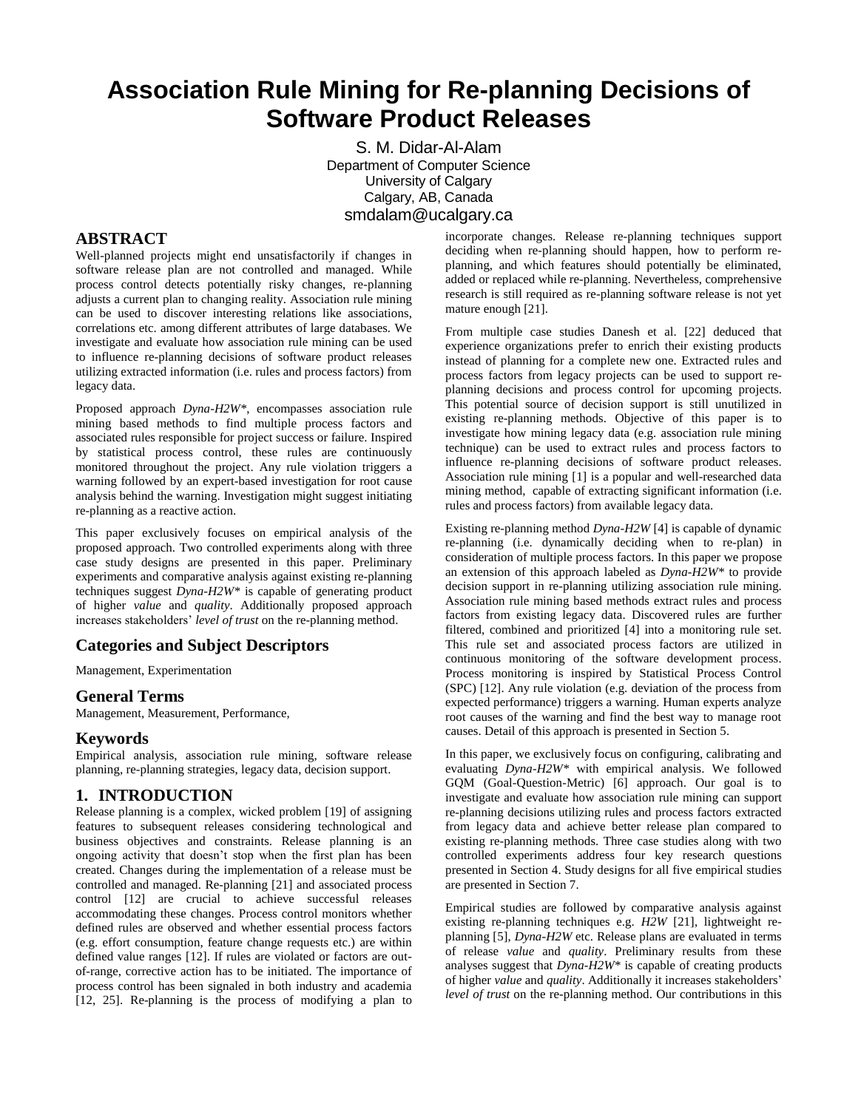# **Association Rule Mining for Re-planning Decisions of Software Product Releases**

S. M. Didar-Al-Alam Department of Computer Science University of Calgary Calgary, AB, Canada smdalam@ucalgary.ca

## **ABSTRACT**

Well-planned projects might end unsatisfactorily if changes in software release plan are not controlled and managed. While process control detects potentially risky changes, re-planning adjusts a current plan to changing reality. Association rule mining can be used to discover interesting relations like associations, correlations etc. among different attributes of large databases. We investigate and evaluate how association rule mining can be used to influence re-planning decisions of software product releases utilizing extracted information (i.e. rules and process factors) from legacy data.

Proposed approach *Dyna-H2W\**, encompasses association rule mining based methods to find multiple process factors and associated rules responsible for project success or failure. Inspired by statistical process control, these rules are continuously monitored throughout the project. Any rule violation triggers a warning followed by an expert-based investigation for root cause analysis behind the warning. Investigation might suggest initiating re-planning as a reactive action.

This paper exclusively focuses on empirical analysis of the proposed approach. Two controlled experiments along with three case study designs are presented in this paper. Preliminary experiments and comparative analysis against existing re-planning techniques suggest *Dyna-H2W\** is capable of generating product of higher *value* and *quality*. Additionally proposed approach increases stakeholders' *level of trust* on the re-planning method.

## **Categories and Subject Descriptors**

Management, Experimentation

## **General Terms**

Management, Measurement, Performance,

## **Keywords**

Empirical analysis, association rule mining, software release planning, re-planning strategies, legacy data, decision support.

## **1. INTRODUCTION**

Release planning is a complex, wicked problem [19] of assigning features to subsequent releases considering technological and business objectives and constraints. Release planning is an ongoing activity that doesn't stop when the first plan has been created. Changes during the implementation of a release must be controlled and managed. Re-planning [21] and associated process control [12] are crucial to achieve successful releases accommodating these changes. Process control monitors whether defined rules are observed and whether essential process factors (e.g. effort consumption, feature change requests etc.) are within defined value ranges [12]. If rules are violated or factors are outof-range, corrective action has to be initiated. The importance of process control has been signaled in both industry and academia [12, 25]. Re-planning is the process of modifying a plan to

incorporate changes. Release re-planning techniques support deciding when re-planning should happen, how to perform replanning, and which features should potentially be eliminated, added or replaced while re-planning. Nevertheless, comprehensive research is still required as re-planning software release is not yet mature enough [21].

From multiple case studies Danesh et al. [22] deduced that experience organizations prefer to enrich their existing products instead of planning for a complete new one. Extracted rules and process factors from legacy projects can be used to support replanning decisions and process control for upcoming projects. This potential source of decision support is still unutilized in existing re-planning methods. Objective of this paper is to investigate how mining legacy data (e.g. association rule mining technique) can be used to extract rules and process factors to influence re-planning decisions of software product releases. Association rule mining [1] is a popular and well-researched data mining method, capable of extracting significant information (i.e. rules and process factors) from available legacy data.

Existing re-planning method *Dyna-H2W* [4] is capable of dynamic re-planning (i.e. dynamically deciding when to re-plan) in consideration of multiple process factors. In this paper we propose an extension of this approach labeled as *Dyna-H2W\** to provide decision support in re-planning utilizing association rule mining. Association rule mining based methods extract rules and process factors from existing legacy data. Discovered rules are further filtered, combined and prioritized [4] into a monitoring rule set. This rule set and associated process factors are utilized in continuous monitoring of the software development process. Process monitoring is inspired by Statistical Process Control (SPC) [12]. Any rule violation (e.g. deviation of the process from expected performance) triggers a warning. Human experts analyze root causes of the warning and find the best way to manage root causes. Detail of this approach is presented in Section 5.

In this paper, we exclusively focus on configuring, calibrating and evaluating *Dyna-H2W\** with empirical analysis. We followed GQM (Goal-Question-Metric) [6] approach. Our goal is to investigate and evaluate how association rule mining can support re-planning decisions utilizing rules and process factors extracted from legacy data and achieve better release plan compared to existing re-planning methods. Three case studies along with two controlled experiments address four key research questions presented in Section 4. Study designs for all five empirical studies are presented in Section 7.

Empirical studies are followed by comparative analysis against existing re-planning techniques e.g. *H2W* [21], lightweight replanning [5], *Dyna-H2W* etc. Release plans are evaluated in terms of release *value* and *quality*. Preliminary results from these analyses suggest that *Dyna-H2W\** is capable of creating products of higher *value* and *quality*. Additionally it increases stakeholders' *level of trust* on the re-planning method. Our contributions in this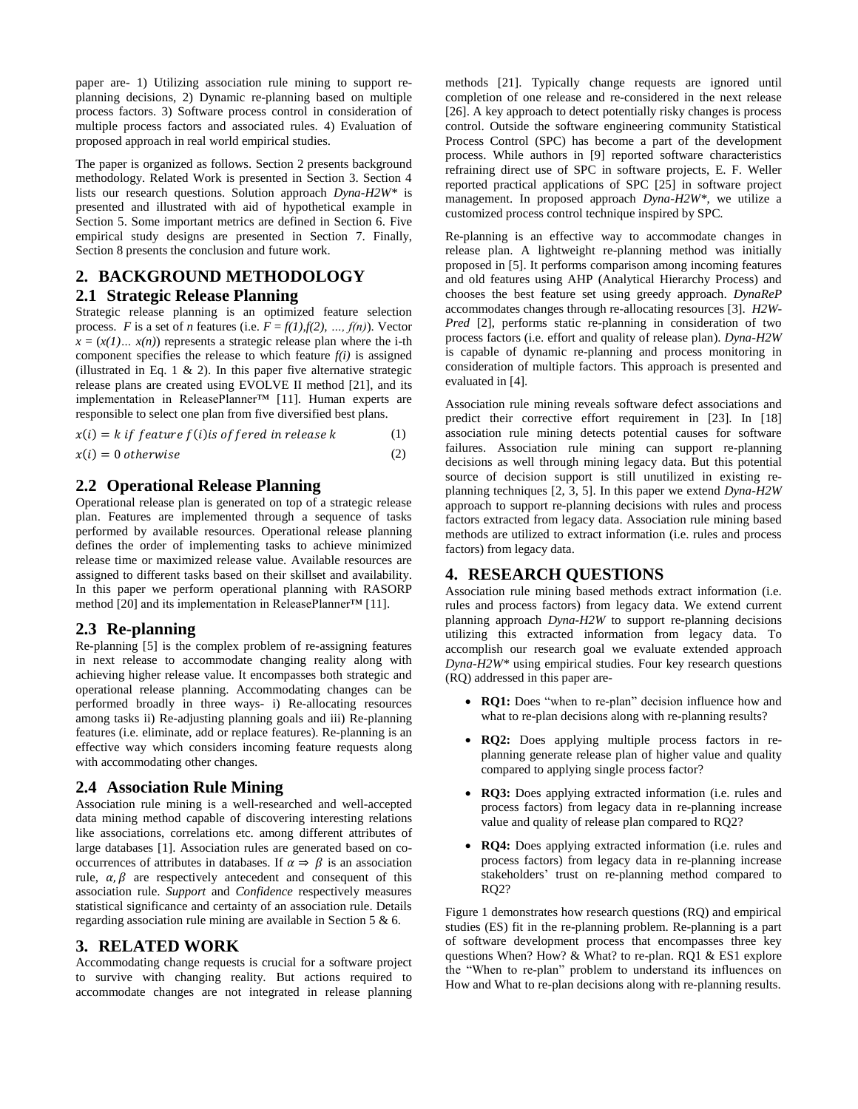paper are- 1) Utilizing association rule mining to support replanning decisions, 2) Dynamic re-planning based on multiple process factors. 3) Software process control in consideration of multiple process factors and associated rules. 4) Evaluation of proposed approach in real world empirical studies.

The paper is organized as follows. Section 2 presents background methodology. Related Work is presented in Section 3. Section 4 lists our research questions. Solution approach *Dyna-H2W\** is presented and illustrated with aid of hypothetical example in Section 5. Some important metrics are defined in Section 6. Five empirical study designs are presented in Section 7. Finally, Section 8 presents the conclusion and future work.

# **2. BACKGROUND METHODOLOGY**

## **2.1 Strategic Release Planning**

Strategic release planning is an optimized feature selection process. *F* is a set of *n* features (i.e.  $F = f(1), f(2), ..., f(n)$ ). Vector  $x = (x(1)... x(n))$  represents a strategic release plan where the i-th component specifies the release to which feature  $f(i)$  is assigned (illustrated in Eq. 1 & 2). In this paper five alternative strategic release plans are created using EVOLVE II method [21], and its implementation in ReleasePlanner™ [11]. Human experts are responsible to select one plan from five diversified best plans.

$$
x(i) = k \text{ if } feature \ f(i) \text{ is offered in release } k \tag{1}
$$

 $x(i) = 0$  otherwise (2)

## **2.2 Operational Release Planning**

Operational release plan is generated on top of a strategic release plan. Features are implemented through a sequence of tasks performed by available resources. Operational release planning defines the order of implementing tasks to achieve minimized release time or maximized release value. Available resources are assigned to different tasks based on their skillset and availability. In this paper we perform operational planning with RASORP method [20] and its implementation in ReleasePlanner™ [11].

## **2.3 Re-planning**

Re-planning [5] is the complex problem of re-assigning features in next release to accommodate changing reality along with achieving higher release value. It encompasses both strategic and operational release planning. Accommodating changes can be performed broadly in three ways- i) Re-allocating resources among tasks ii) Re-adjusting planning goals and iii) Re-planning features (i.e. eliminate, add or replace features). Re-planning is an effective way which considers incoming feature requests along with accommodating other changes.

## **2.4 Association Rule Mining**

Association rule mining is a well-researched and well-accepted data mining method capable of discovering interesting relations like associations, correlations etc. among different attributes of large databases [1]. Association rules are generated based on cooccurrences of attributes in databases. If  $\alpha \Rightarrow \beta$  is an association rule,  $\alpha, \beta$  are respectively antecedent and consequent of this association rule. *Support* and *Confidence* respectively measures statistical significance and certainty of an association rule. Details regarding association rule mining are available in Section 5 & 6.

# **3. RELATED WORK**

Accommodating change requests is crucial for a software project to survive with changing reality. But actions required to accommodate changes are not integrated in release planning methods [21]. Typically change requests are ignored until completion of one release and re-considered in the next release [26]. A key approach to detect potentially risky changes is process control. Outside the software engineering community Statistical Process Control (SPC) has become a part of the development process. While authors in [9] reported software characteristics refraining direct use of SPC in software projects, E. F. Weller reported practical applications of SPC [25] in software project management. In proposed approach *Dyna-H2W\**, we utilize a customized process control technique inspired by SPC.

Re-planning is an effective way to accommodate changes in release plan. A lightweight re-planning method was initially proposed in [5]. It performs comparison among incoming features and old features using AHP (Analytical Hierarchy Process) and chooses the best feature set using greedy approach. *DynaReP* accommodates changes through re-allocating resources [3]. *H2W-Pred* [2], performs static re-planning in consideration of two process factors (i.e. effort and quality of release plan). *Dyna-H2W* is capable of dynamic re-planning and process monitoring in consideration of multiple factors. This approach is presented and evaluated in [4].

Association rule mining reveals software defect associations and predict their corrective effort requirement in [23]. In [18] association rule mining detects potential causes for software failures. Association rule mining can support re-planning decisions as well through mining legacy data. But this potential source of decision support is still unutilized in existing replanning techniques [2, 3, 5]. In this paper we extend *Dyna-H2W* approach to support re-planning decisions with rules and process factors extracted from legacy data. Association rule mining based methods are utilized to extract information (i.e. rules and process factors) from legacy data.

# **4. RESEARCH QUESTIONS**

Association rule mining based methods extract information (i.e. rules and process factors) from legacy data. We extend current planning approach *Dyna-H2W* to support re-planning decisions utilizing this extracted information from legacy data*.* To accomplish our research goal we evaluate extended approach *Dyna-H2W\** using empirical studies. Four key research questions (RQ) addressed in this paper are-

- **RQ1:** Does "when to re-plan" decision influence how and what to re-plan decisions along with re-planning results?
- **RQ2:** Does applying multiple process factors in replanning generate release plan of higher value and quality compared to applying single process factor?
- **RQ3:** Does applying extracted information (i.e. rules and process factors) from legacy data in re-planning increase value and quality of release plan compared to RQ2?
- **RQ4:** Does applying extracted information (i.e. rules and process factors) from legacy data in re-planning increase stakeholders' trust on re-planning method compared to RQ2?

Figure 1 demonstrates how research questions (RQ) and empirical studies (ES) fit in the re-planning problem. Re-planning is a part of software development process that encompasses three key questions When? How? & What? to re-plan. RQ1 & ES1 explore the "When to re-plan" problem to understand its influences on How and What to re-plan decisions along with re-planning results.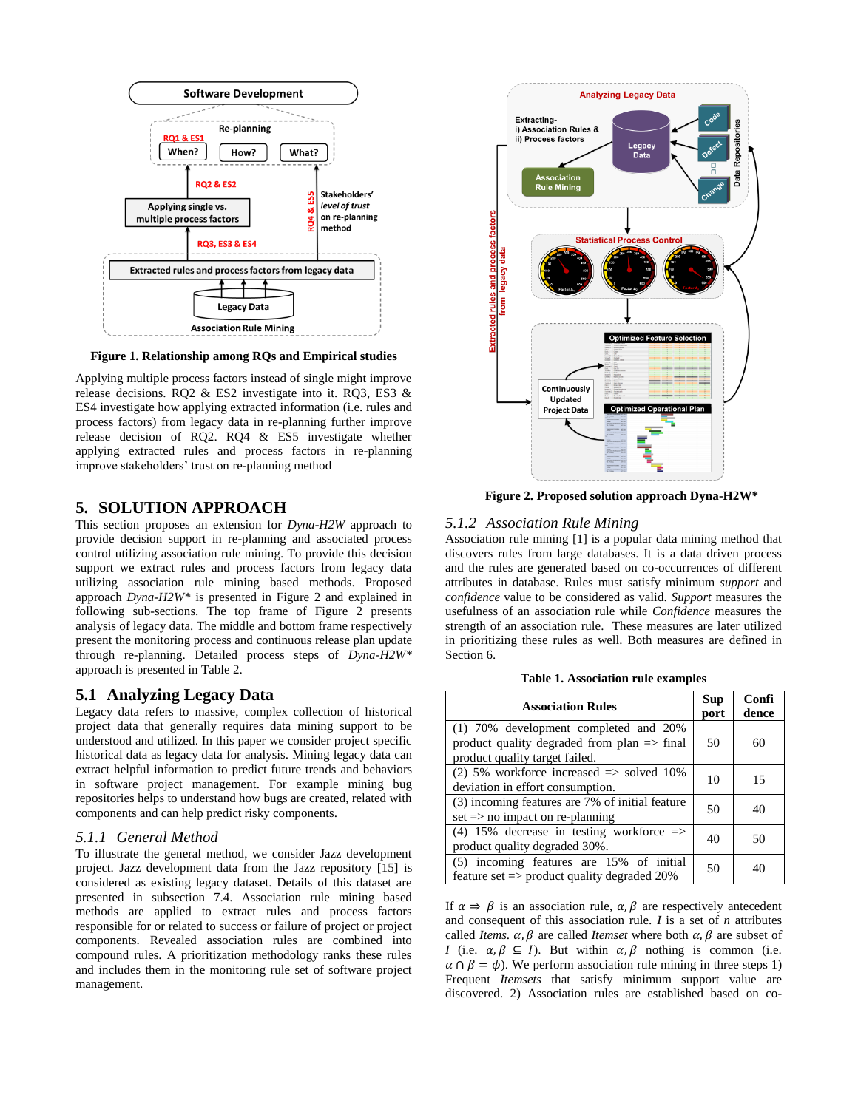

**Figure 1. Relationship among RQs and Empirical studies**

Applying multiple process factors instead of single might improve release decisions. RQ2 & ES2 investigate into it. RQ3, ES3 & ES4 investigate how applying extracted information (i.e. rules and process factors) from legacy data in re-planning further improve release decision of RQ2. RQ4 & ES5 investigate whether applying extracted rules and process factors in re-planning improve stakeholders' trust on re-planning method

## **5. SOLUTION APPROACH**

This section proposes an extension for *Dyna-H2W* approach to provide decision support in re-planning and associated process control utilizing association rule mining. To provide this decision support we extract rules and process factors from legacy data utilizing association rule mining based methods. Proposed approach *Dyna-H2W\** is presented in Figure 2 and explained in following sub-sections. The top frame of Figure 2 presents analysis of legacy data. The middle and bottom frame respectively present the monitoring process and continuous release plan update through re-planning. Detailed process steps of *Dyna-H2W\** approach is presented in Table 2.

## **5.1 Analyzing Legacy Data**

Legacy data refers to massive, complex collection of historical project data that generally requires data mining support to be understood and utilized. In this paper we consider project specific historical data as legacy data for analysis. Mining legacy data can extract helpful information to predict future trends and behaviors in software project management. For example mining bug repositories helps to understand how bugs are created, related with components and can help predict risky components.

#### *5.1.1 General Method*

To illustrate the general method, we consider Jazz development project. Jazz development data from the Jazz repository [15] is considered as existing legacy dataset. Details of this dataset are presented in subsection 7.4. Association rule mining based methods are applied to extract rules and process factors responsible for or related to success or failure of project or project components. Revealed association rules are combined into compound rules. A prioritization methodology ranks these rules and includes them in the monitoring rule set of software project management.



**Figure 2. Proposed solution approach Dyna-H2W\***

#### *5.1.2 Association Rule Mining*

Association rule mining [1] is a popular data mining method that discovers rules from large databases. It is a data driven process and the rules are generated based on co-occurrences of different attributes in database. Rules must satisfy minimum *support* and *confidence* value to be considered as valid. *Support* measures the usefulness of an association rule while *Confidence* measures the strength of an association rule. These measures are later utilized in prioritizing these rules as well. Both measures are defined in Section 6.

**Table 1. Association rule examples**

| <b>Association Rules</b>                                                                                                          | Sup<br>port | Confi<br>dence |
|-----------------------------------------------------------------------------------------------------------------------------------|-------------|----------------|
| (1) 70% development completed and 20%<br>product quality degraded from plan $\Rightarrow$ final<br>product quality target failed. | 50          | 60             |
| $(2)$ 5% workforce increased $\Rightarrow$ solved 10%<br>deviation in effort consumption.                                         | 10          | 15             |
| (3) incoming features are 7% of initial feature<br>set $\Rightarrow$ no impact on re-planning                                     | 50          | 40             |
| (4) 15% decrease in testing workforce $\Rightarrow$<br>product quality degraded 30%.                                              | 40          | 50             |
| (5) incoming features are 15% of initial<br>feature set $\Rightarrow$ product quality degraded 20%                                | 50          | 40             |

If  $\alpha \Rightarrow \beta$  is an association rule,  $\alpha, \beta$  are respectively antecedent and consequent of this association rule. *I* is a set of *n* attributes called *Items*.  $\alpha$ ,  $\beta$  are called *Itemset* where both  $\alpha$ ,  $\beta$  are subset of *I* (i.e.  $\alpha, \beta \subseteq I$ ). But within  $\alpha, \beta$  nothing is common (i.e.  $\alpha \cap \beta = \phi$ ). We perform association rule mining in three steps 1) Frequent *Itemsets* that satisfy minimum support value are discovered. 2) Association rules are established based on co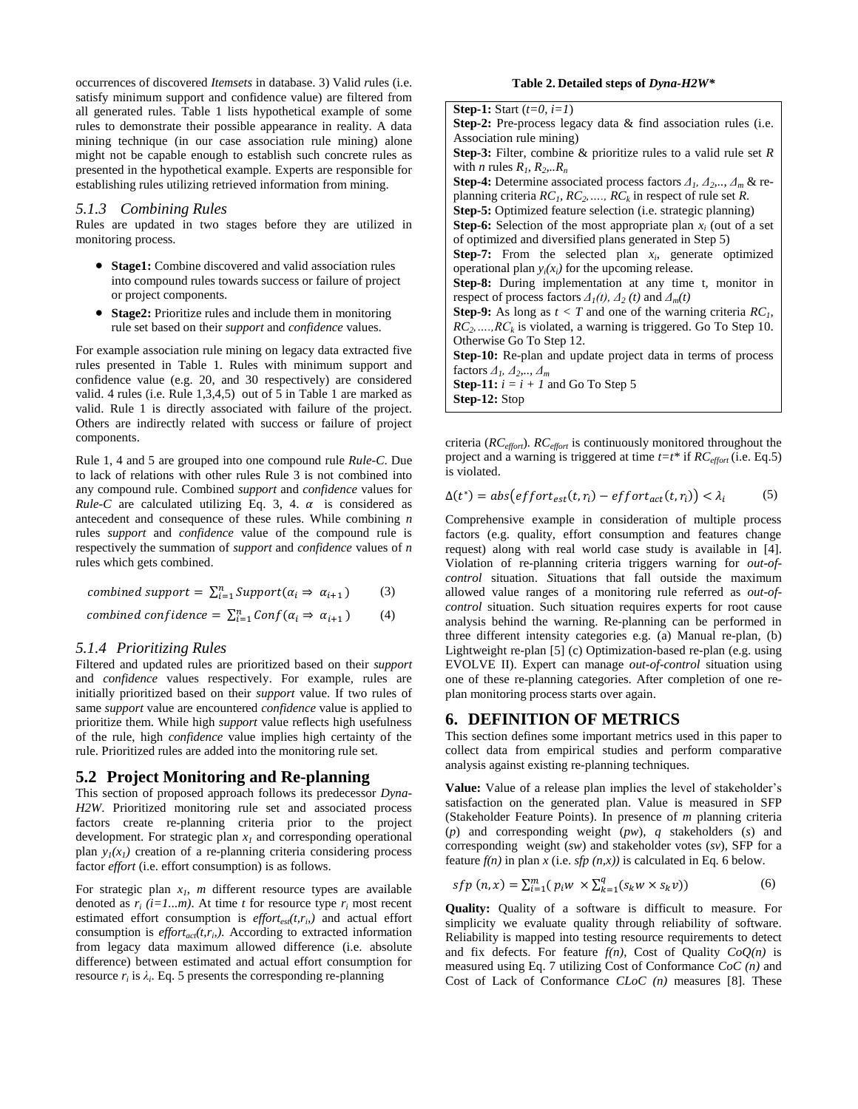occurrences of discovered *Itemsets* in database. 3) Valid *r*ules (i.e. satisfy minimum support and confidence value) are filtered from all generated rules. Table 1 lists hypothetical example of some rules to demonstrate their possible appearance in reality. A data mining technique (in our case association rule mining) alone might not be capable enough to establish such concrete rules as presented in the hypothetical example. Experts are responsible for establishing rules utilizing retrieved information from mining.

#### *5.1.3 Combining Rules*

Rules are updated in two stages before they are utilized in monitoring process.

- **Stage1:** Combine discovered and valid association rules into compound rules towards success or failure of project or project components.
- **Stage2:** Prioritize rules and include them in monitoring rule set based on their *support* and *confidence* values.

For example association rule mining on legacy data extracted five rules presented in Table 1. Rules with minimum support and confidence value (e.g. 20, and 30 respectively) are considered valid. 4 rules (i.e. Rule 1,3,4,5) out of 5 in Table 1 are marked as valid. Rule 1 is directly associated with failure of the project. Others are indirectly related with success or failure of project components.

Rule 1, 4 and 5 are grouped into one compound rule *Rule-C*. Due to lack of relations with other rules Rule 3 is not combined into any compound rule. Combined *support* and *confidence* values for *Rule-C* are calculated utilizing Eq. 3, 4.  $\alpha$  is considered as antecedent and consequence of these rules. While combining *n* rules *support* and *confidence* value of the compound rule is respectively the summation of *support* and *confidence* values of *n* rules which gets combined.

$$
combined support = \sum_{i=1}^{n} Support(\alpha_i \Rightarrow \alpha_{i+1})
$$
 (3)

combined confidence =  $\sum_{i=1}^{n} Conf(\alpha)$  $(4)$ 

#### *5.1.4 Prioritizing Rules*

Filtered and updated rules are prioritized based on their *support* and *confidence* values respectively. For example, rules are initially prioritized based on their *support* value. If two rules of same *support* value are encountered *confidence* value is applied to prioritize them. While high *support* value reflects high usefulness of the rule, high *confidence* value implies high certainty of the rule. Prioritized rules are added into the monitoring rule set.

## **5.2 Project Monitoring and Re-planning**

This section of proposed approach follows its predecessor *Dyna-H2W*. Prioritized monitoring rule set and associated process factors create re-planning criteria prior to the project development. For strategic plan *x<sup>1</sup>* and corresponding operational plan  $y_1(x_1)$  creation of a re-planning criteria considering process factor *effort* (i.e. effort consumption) is as follows.

For strategic plan *x<sup>1</sup>* , *m* different resource types are available denoted as  $r_i$  ( $i=1...m$ ). At time  $t$  for resource type  $r_i$  most recent estimated effort consumption is  $\text{effort}_{\text{est}}(t, r_i)$  and actual effort consumption is  $\text{effort}_{\text{act}}(t, r_i)$ . According to extracted information from legacy data maximum allowed difference (i.e. absolute difference) between estimated and actual effort consumption for resource  $r_i$  is  $\lambda_i$ . Eq. 5 presents the corresponding re-planning

| <b>Step-1:</b> Start $(t=0, i=1)$                                                               |
|-------------------------------------------------------------------------------------------------|
| Step-2: Pre-process legacy data & find association rules (i.e.                                  |
| Association rule mining)                                                                        |
| <b>Step-3:</b> Filter, combine & prioritize rules to a valid rule set $R$                       |
| with <i>n</i> rules $R_1, R_2, \ldots, R_n$                                                     |
| <b>Step-4:</b> Determine associated process factors $\Delta_1$ , $\Delta_2$ ,, $\Delta_m$ & re- |
| planning criteria $RC1$ , $RC2$ ,, $RCk$ in respect of rule set R.                              |
| <b>Step-5:</b> Optimized feature selection (i.e. strategic planning)                            |
| <b>Step-6:</b> Selection of the most appropriate plan $x_i$ (out of a set                       |
| of optimized and diversified plans generated in Step 5)                                         |
| <b>Step-7:</b> From the selected plan $x_i$ , generate optimized                                |
| operational plan $y_i(x_i)$ for the upcoming release.                                           |
| <b>Step-8:</b> During implementation at any time t, monitor in                                  |
| respect of process factors $\Delta_l(t)$ , $\Delta_2(t)$ and $\Delta_m(t)$                      |
| <b>Step-9:</b> As long as $t < T$ and one of the warning criteria $RC1$ ,                       |
| $RC_2, \ldots, RC_k$ is violated, a warning is triggered. Go To Step 10.                        |
| Otherwise Go To Step 12.                                                                        |
| Step-10: Re-plan and update project data in terms of process                                    |
| factors $\Delta_1$ , $\Delta_2$ ,, $\Delta_m$                                                   |
| <b>Step-11:</b> $i = i + 1$ and Go To Step 5                                                    |
| <b>Step-12: Stop</b>                                                                            |

criteria (*RCeffort*)*. RCeffort* is continuously monitored throughout the project and a warning is triggered at time *t=t\** if *RCeffort* (i.e. Eq.5) is violated.

$$
\Delta(t^*) = abs\big( \text{effort}_{\text{est}}(t, r_i) - \text{effort}_{\text{act}}(t, r_i) \big) < \lambda_i \tag{5}
$$

Comprehensive example in consideration of multiple process factors (e.g. quality, effort consumption and features change request) along with real world case study is available in [4]. Violation of re-planning criteria triggers warning for *out-ofcontrol* situation. *S*ituations that fall outside the maximum allowed value ranges of a monitoring rule referred as *out-ofcontrol* situation. Such situation requires experts for root cause analysis behind the warning. Re-planning can be performed in three different intensity categories e.g. (a) Manual re-plan, (b) Lightweight re-plan [5] (c) Optimization-based re-plan (e.g. using EVOLVE II). Expert can manage *out-of-control* situation using one of these re-planning categories. After completion of one replan monitoring process starts over again.

## **6. DEFINITION OF METRICS**

This section defines some important metrics used in this paper to collect data from empirical studies and perform comparative analysis against existing re-planning techniques.

**Value:** Value of a release plan implies the level of stakeholder's satisfaction on the generated plan. Value is measured in SFP (Stakeholder Feature Points). In presence of *m* planning criteria (*p*) and corresponding weight (*pw*), *q* stakeholders (*s*) and corresponding weight (*sw*) and stakeholder votes (*sv*), SFP for a feature  $f(n)$  in plan *x* (i.e. *sfp*  $(n,x)$ ) is calculated in Eq. 6 below.

$$
sfp\ (n,x) = \sum_{i=1}^{m} (p_i w \times \sum_{k=1}^{q} (s_k w \times s_k v))
$$
 (6)

**Quality:** Quality of a software is difficult to measure. For simplicity we evaluate quality through reliability of software. Reliability is mapped into testing resource requirements to detect and fix defects. For feature  $f(n)$ , Cost of Quality  $CoQ(n)$  is measured using Eq. 7 utilizing Cost of Conformance *CoC (n)* and Cost of Lack of Conformance *CLoC (n)* measures [8]. These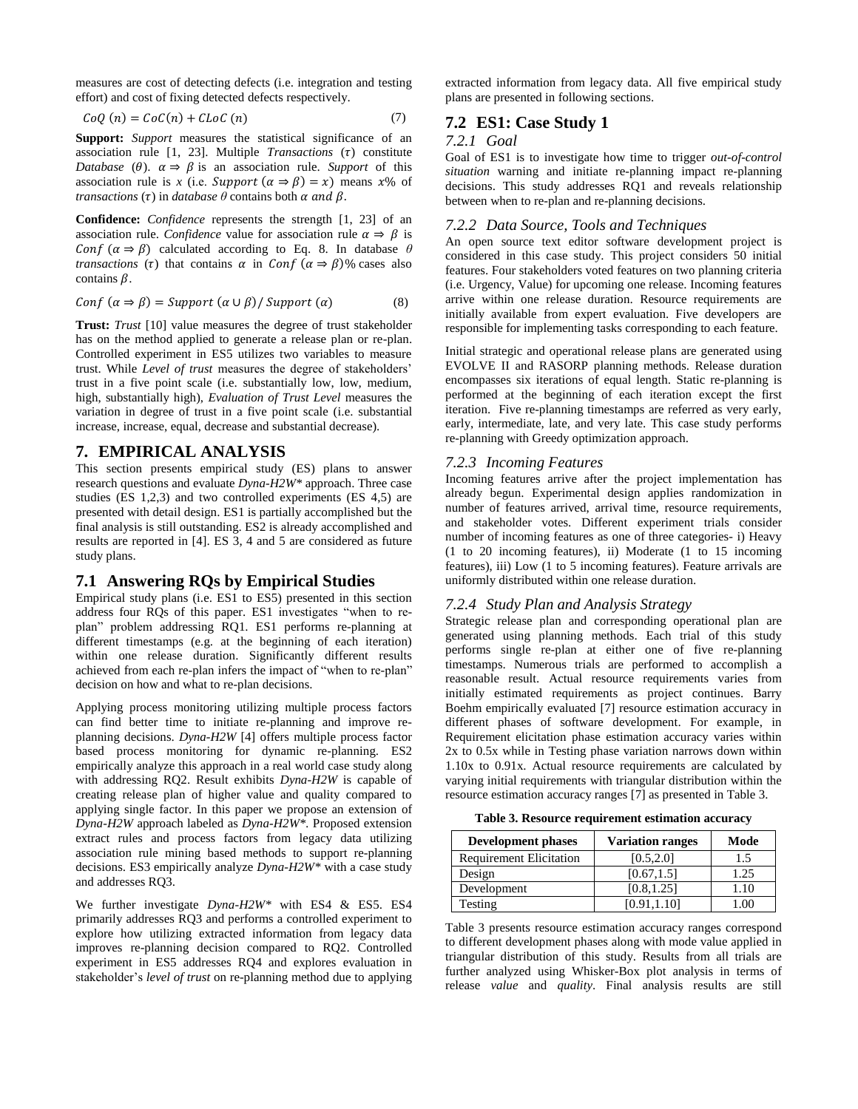measures are cost of detecting defects (i.e. integration and testing effort) and cost of fixing detected defects respectively.

$$
CoQ(n) = CoC(n) + CLoC(n)
$$
\n(7)

**Support:** *Support* measures the statistical significance of an association rule  $\begin{bmatrix} 1 \\ 23 \end{bmatrix}$ . Multiple *Transactions*  $(\tau)$  constitute *Database* ( $\theta$ ).  $\alpha \Rightarrow \beta$  is an association rule. *Support* of this association rule is *x* (i.e. Support  $(\alpha \Rightarrow \beta) = x$ ) means  $x\%$  of *transactions* ( $\tau$ ) in *database*  $\theta$  contains both  $\alpha$  and  $\beta$ .

**Confidence:** *Confidence* represents the strength [1, 23] of an association rule. *Confidence* value for association rule  $\alpha \Rightarrow \beta$  is  $Conf (\alpha \Rightarrow \beta)$  calculated according to Eq. 8. In database  $\theta$ *transactions* ( $\tau$ ) that contains  $\alpha$  in Conf ( $\alpha \Rightarrow \beta$ )% cases also contains  $\beta$ .

$$
Conf(\alpha \Rightarrow \beta) = Support(\alpha \cup \beta) / Support(\alpha)
$$
\n(8)

**Trust:** *Trust* [10] value measures the degree of trust stakeholder has on the method applied to generate a release plan or re-plan. Controlled experiment in ES5 utilizes two variables to measure trust. While *Level of trust* measures the degree of stakeholders' trust in a five point scale (i.e. substantially low, low, medium, high, substantially high), *Evaluation of Trust Level* measures the variation in degree of trust in a five point scale (i.e. substantial increase, increase, equal, decrease and substantial decrease).

## **7. EMPIRICAL ANALYSIS**

This section presents empirical study (ES) plans to answer research questions and evaluate *Dyna-H2W\** approach. Three case studies (ES 1,2,3) and two controlled experiments (ES 4,5) are presented with detail design. ES1 is partially accomplished but the final analysis is still outstanding. ES2 is already accomplished and results are reported in [4]. ES 3, 4 and 5 are considered as future study plans.

#### **7.1 Answering RQs by Empirical Studies**

Empirical study plans (i.e. ES1 to ES5) presented in this section address four RQs of this paper. ES1 investigates "when to replan" problem addressing RQ1. ES1 performs re-planning at different timestamps (e.g. at the beginning of each iteration) within one release duration. Significantly different results achieved from each re-plan infers the impact of "when to re-plan" decision on how and what to re-plan decisions.

Applying process monitoring utilizing multiple process factors can find better time to initiate re-planning and improve replanning decisions. *Dyna-H2W* [4] offers multiple process factor based process monitoring for dynamic re-planning. ES2 empirically analyze this approach in a real world case study along with addressing RQ2. Result exhibits *Dyna-H2W* is capable of creating release plan of higher value and quality compared to applying single factor. In this paper we propose an extension of *Dyna-H2W* approach labeled as *Dyna-H2W\*.* Proposed extension extract rules and process factors from legacy data utilizing association rule mining based methods to support re-planning decisions. ES3 empirically analyze *Dyna-H2W\** with a case study and addresses RQ3.

We further investigate *Dyna-H2W\** with ES4 & ES5. ES4 primarily addresses RQ3 and performs a controlled experiment to explore how utilizing extracted information from legacy data improves re-planning decision compared to RQ2. Controlled experiment in ES5 addresses RQ4 and explores evaluation in stakeholder's *level of trust* on re-planning method due to applying extracted information from legacy data. All five empirical study plans are presented in following sections.

## **7.2 ES1: Case Study 1**

#### *7.2.1 Goal*

Goal of ES1 is to investigate how time to trigger *out-of-control situation* warning and initiate re-planning impact re-planning decisions. This study addresses RQ1 and reveals relationship between when to re-plan and re-planning decisions.

#### *7.2.2 Data Source, Tools and Techniques*

An open source text editor software development project is considered in this case study. This project considers 50 initial features. Four stakeholders voted features on two planning criteria (i.e. Urgency, Value) for upcoming one release. Incoming features arrive within one release duration. Resource requirements are initially available from expert evaluation. Five developers are responsible for implementing tasks corresponding to each feature.

Initial strategic and operational release plans are generated using EVOLVE II and RASORP planning methods. Release duration encompasses six iterations of equal length. Static re-planning is performed at the beginning of each iteration except the first iteration. Five re-planning timestamps are referred as very early, early, intermediate, late, and very late. This case study performs re-planning with Greedy optimization approach.

#### *7.2.3 Incoming Features*

Incoming features arrive after the project implementation has already begun. Experimental design applies randomization in number of features arrived, arrival time, resource requirements, and stakeholder votes. Different experiment trials consider number of incoming features as one of three categories- i) Heavy (1 to 20 incoming features), ii) Moderate (1 to 15 incoming features), iii) Low (1 to 5 incoming features). Feature arrivals are uniformly distributed within one release duration.

#### *7.2.4 Study Plan and Analysis Strategy*

Strategic release plan and corresponding operational plan are generated using planning methods. Each trial of this study performs single re-plan at either one of five re-planning timestamps. Numerous trials are performed to accomplish a reasonable result. Actual resource requirements varies from initially estimated requirements as project continues. Barry Boehm empirically evaluated [7] resource estimation accuracy in different phases of software development. For example, in Requirement elicitation phase estimation accuracy varies within 2x to 0.5x while in Testing phase variation narrows down within 1.10x to 0.91x. Actual resource requirements are calculated by varying initial requirements with triangular distribution within the resource estimation accuracy ranges [7] as presented in Table 3.

**Table 3. Resource requirement estimation accuracy** 

| <b>Development phases</b>      | <b>Variation ranges</b> | Mode |
|--------------------------------|-------------------------|------|
| <b>Requirement Elicitation</b> | [0.5, 2.0]              | 1.5  |
| Design                         | [0.67, 1.5]             | 1.25 |
| Development                    | [0.8, 1.25]             | 1.10 |
| Testing                        | [0.91.1.10]             | (0)  |

Table 3 presents resource estimation accuracy ranges correspond to different development phases along with mode value applied in triangular distribution of this study. Results from all trials are further analyzed using Whisker-Box plot analysis in terms of release *value* and *quality*. Final analysis results are still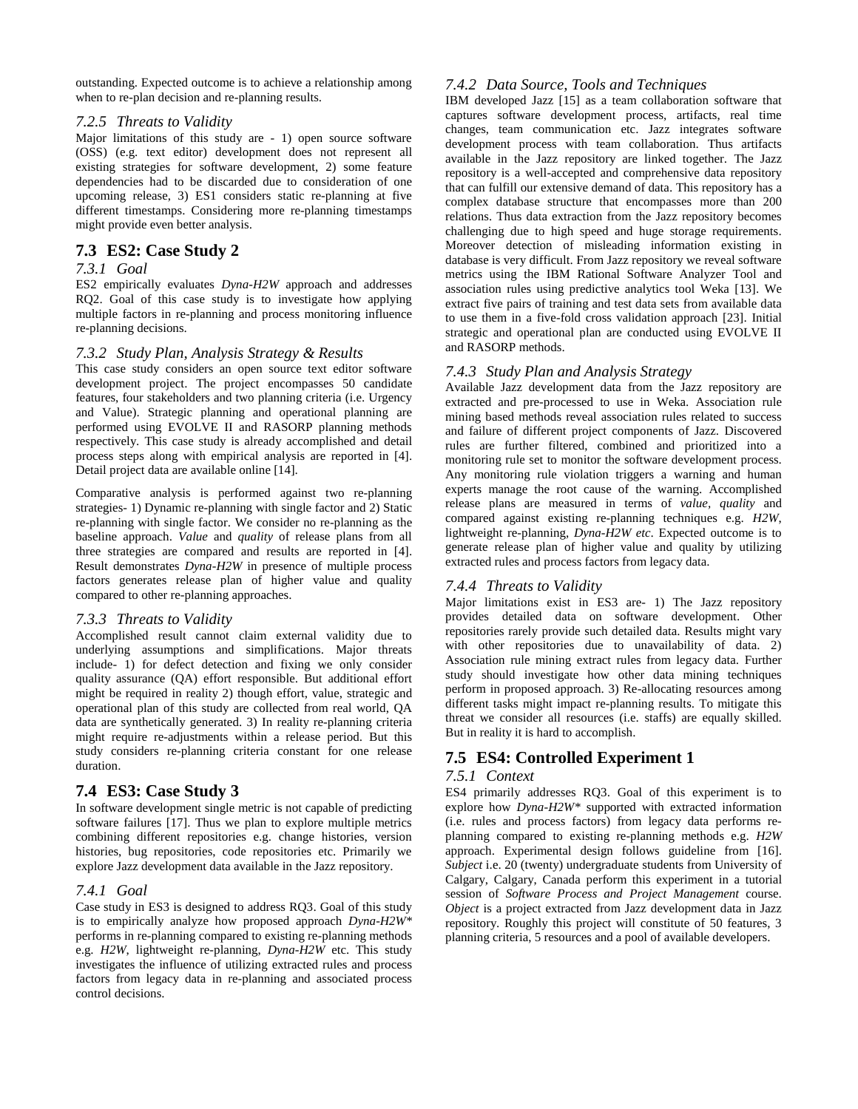outstanding. Expected outcome is to achieve a relationship among when to re-plan decision and re-planning results.

## *7.2.5 Threats to Validity*

Major limitations of this study are - 1) open source software (OSS) (e.g. text editor) development does not represent all existing strategies for software development, 2) some feature dependencies had to be discarded due to consideration of one upcoming release, 3) ES1 considers static re-planning at five different timestamps. Considering more re-planning timestamps might provide even better analysis.

# **7.3 ES2: Case Study 2**

## *7.3.1 Goal*

ES2 empirically evaluates *Dyna-H2W* approach and addresses RQ2. Goal of this case study is to investigate how applying multiple factors in re-planning and process monitoring influence re-planning decisions.

## *7.3.2 Study Plan, Analysis Strategy & Results*

This case study considers an open source text editor software development project. The project encompasses 50 candidate features, four stakeholders and two planning criteria (i.e. Urgency and Value). Strategic planning and operational planning are performed using EVOLVE II and RASORP planning methods respectively. This case study is already accomplished and detail process steps along with empirical analysis are reported in [4]. Detail project data are available online [14].

Comparative analysis is performed against two re-planning strategies- 1) Dynamic re-planning with single factor and 2) Static re-planning with single factor. We consider no re-planning as the baseline approach. *Value* and *quality* of release plans from all three strategies are compared and results are reported in [4]. Result demonstrates *Dyna-H2W* in presence of multiple process factors generates release plan of higher value and quality compared to other re-planning approaches.

## *7.3.3 Threats to Validity*

Accomplished result cannot claim external validity due to underlying assumptions and simplifications. Major threats include- 1) for defect detection and fixing we only consider quality assurance (QA) effort responsible. But additional effort might be required in reality 2) though effort, value, strategic and operational plan of this study are collected from real world, QA data are synthetically generated. 3) In reality re-planning criteria might require re-adjustments within a release period. But this study considers re-planning criteria constant for one release duration.

## **7.4 ES3: Case Study 3**

In software development single metric is not capable of predicting software failures [17]. Thus we plan to explore multiple metrics combining different repositories e.g. change histories, version histories, bug repositories, code repositories etc. Primarily we explore Jazz development data available in the Jazz repository.

## *7.4.1 Goal*

Case study in ES3 is designed to address RQ3. Goal of this study is to empirically analyze how proposed approach *Dyna-H2W\**  performs in re-planning compared to existing re-planning methods e.g. *H2W*, lightweight re-planning, *Dyna-H2W* etc. This study investigates the influence of utilizing extracted rules and process factors from legacy data in re-planning and associated process control decisions.

## *7.4.2 Data Source, Tools and Techniques*

IBM developed Jazz [15] as a team collaboration software that captures software development process, artifacts, real time changes, team communication etc. Jazz integrates software development process with team collaboration. Thus artifacts available in the Jazz repository are linked together. The Jazz repository is a well-accepted and comprehensive data repository that can fulfill our extensive demand of data. This repository has a complex database structure that encompasses more than 200 relations. Thus data extraction from the Jazz repository becomes challenging due to high speed and huge storage requirements. Moreover detection of misleading information existing in database is very difficult. From Jazz repository we reveal software metrics using the IBM Rational Software Analyzer Tool and association rules using predictive analytics tool Weka [13]. We extract five pairs of training and test data sets from available data to use them in a five-fold cross validation approach [23]. Initial strategic and operational plan are conducted using EVOLVE II and RASORP methods.

## *7.4.3 Study Plan and Analysis Strategy*

Available Jazz development data from the Jazz repository are extracted and pre-processed to use in Weka. Association rule mining based methods reveal association rules related to success and failure of different project components of Jazz. Discovered rules are further filtered, combined and prioritized into a monitoring rule set to monitor the software development process. Any monitoring rule violation triggers a warning and human experts manage the root cause of the warning. Accomplished release plans are measured in terms of *value, quality* and compared against existing re-planning techniques e.g. *H2W*, lightweight re-planning, *Dyna-H2W etc*. Expected outcome is to generate release plan of higher value and quality by utilizing extracted rules and process factors from legacy data.

## *7.4.4 Threats to Validity*

Major limitations exist in ES3 are- 1) The Jazz repository provides detailed data on software development. Other repositories rarely provide such detailed data. Results might vary with other repositories due to unavailability of data. 2) Association rule mining extract rules from legacy data. Further study should investigate how other data mining techniques perform in proposed approach. 3) Re-allocating resources among different tasks might impact re-planning results. To mitigate this threat we consider all resources (i.e. staffs) are equally skilled. But in reality it is hard to accomplish.

# **7.5 ES4: Controlled Experiment 1**

## *7.5.1 Context*

ES4 primarily addresses RQ3. Goal of this experiment is to explore how *Dyna-H2W\** supported with extracted information (i.e. rules and process factors) from legacy data performs replanning compared to existing re-planning methods e.g. *H2W* approach. Experimental design follows guideline from [16]. *Subject* i.e. 20 (twenty) undergraduate students from University of Calgary, Calgary, Canada perform this experiment in a tutorial session of *Software Process and Project Management* course. *Object* is a project extracted from Jazz development data in Jazz repository. Roughly this project will constitute of 50 features, 3 planning criteria, 5 resources and a pool of available developers.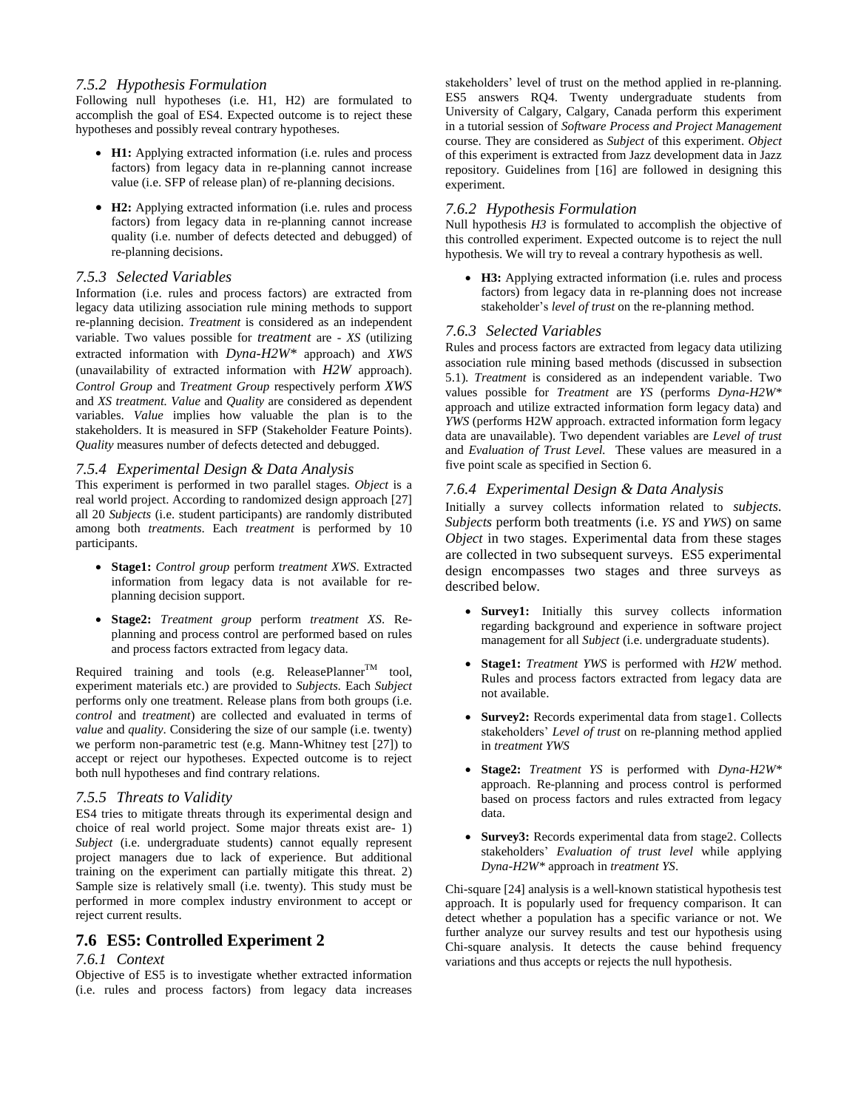## *7.5.2 Hypothesis Formulation*

Following null hypotheses (i.e. H1, H2) are formulated to accomplish the goal of ES4. Expected outcome is to reject these hypotheses and possibly reveal contrary hypotheses.

- **H1:** Applying extracted information (i.e. rules and process factors) from legacy data in re-planning cannot increase value (i.e. SFP of release plan) of re-planning decisions.
- **H2:** Applying extracted information (i.e. rules and process factors) from legacy data in re-planning cannot increase quality (i.e. number of defects detected and debugged) of re-planning decisions.

## *7.5.3 Selected Variables*

Information (i.e. rules and process factors) are extracted from legacy data utilizing association rule mining methods to support re-planning decision. *Treatment* is considered as an independent variable. Two values possible for *treatment* are - *XS* (utilizing extracted information with *Dyna-H2W\** approach) and *XWS* (unavailability of extracted information with *H2W* approach). *Control Group* and *Treatment Group* respectively perform *XWS* and *XS treatment. Value* and *Quality* are considered as dependent variables. *Value* implies how valuable the plan is to the stakeholders. It is measured in SFP (Stakeholder Feature Points). *Quality* measures number of defects detected and debugged.

### *7.5.4 Experimental Design & Data Analysis*

This experiment is performed in two parallel stages. *Object* is a real world project. According to randomized design approach [27] all 20 *Subjects* (i.e. student participants) are randomly distributed among both *treatments*. Each *treatment* is performed by 10 participants.

- **Stage1:** *Control group* perform *treatment XWS*. Extracted information from legacy data is not available for replanning decision support.
- **Stage2:** *Treatment group* perform *treatment XS*. Replanning and process control are performed based on rules and process factors extracted from legacy data.

Required training and tools (e.g. ReleasePlanner<sup>TM</sup> tool, experiment materials etc.) are provided to *Subjects.* Each *Subject* performs only one treatment. Release plans from both groups (i.e. *control* and *treatment*) are collected and evaluated in terms of *value* and *quality*. Considering the size of our sample (i.e. twenty) we perform non-parametric test (e.g. Mann-Whitney test [27]) to accept or reject our hypotheses. Expected outcome is to reject both null hypotheses and find contrary relations.

## *7.5.5 Threats to Validity*

ES4 tries to mitigate threats through its experimental design and choice of real world project. Some major threats exist are- 1) *Subject* (i.e. undergraduate students) cannot equally represent project managers due to lack of experience. But additional training on the experiment can partially mitigate this threat. 2) Sample size is relatively small (i.e. twenty). This study must be performed in more complex industry environment to accept or reject current results.

# **7.6 ES5: Controlled Experiment 2**

#### *7.6.1 Context*

Objective of ES5 is to investigate whether extracted information (i.e. rules and process factors) from legacy data increases

stakeholders' level of trust on the method applied in re-planning. ES5 answers RQ4. Twenty undergraduate students from University of Calgary, Calgary, Canada perform this experiment in a tutorial session of *Software Process and Project Management* course. They are considered as *Subject* of this experiment. *Object*  of this experiment is extracted from Jazz development data in Jazz repository. Guidelines from [16] are followed in designing this experiment.

## *7.6.2 Hypothesis Formulation*

Null hypothesis  $H3$  is formulated to accomplish the objective of this controlled experiment. Expected outcome is to reject the null hypothesis. We will try to reveal a contrary hypothesis as well.

 **H3:** Applying extracted information (i.e. rules and process factors) from legacy data in re-planning does not increase stakeholder's *level of trust* on the re-planning method.

## *7.6.3 Selected Variables*

Rules and process factors are extracted from legacy data utilizing association rule mining based methods (discussed in subsection 5.1). *Treatment* is considered as an independent variable. Two values possible for *Treatment* are *YS* (performs *Dyna-H2W\** approach and utilize extracted information form legacy data) and *YWS* (performs H2W approach. extracted information form legacy data are unavailable). Two dependent variables are *Level of trust* and *Evaluation of Trust Level.* These values are measured in a five point scale as specified in Section 6.

## *7.6.4 Experimental Design & Data Analysis*

Initially a survey collects information related to *subjects. Subjects* perform both treatments (i.e. *YS* and *YWS*) on same *Object* in two stages. Experimental data from these stages are collected in two subsequent surveys. ES5 experimental design encompasses two stages and three surveys as described below.

- **Survey1:** Initially this survey collects information regarding background and experience in software project management for all *Subject* (i.e. undergraduate students).
- **Stage1:** *Treatment YWS* is performed with *H2W* method. Rules and process factors extracted from legacy data are not available.
- **Survey2:** Records experimental data from stage1. Collects stakeholders' *Level of trust* on re-planning method applied in *treatment YWS*
- **Stage2:** *Treatment YS* is performed with *Dyna-H2W\** approach. Re-planning and process control is performed based on process factors and rules extracted from legacy data.
- **Survey3:** Records experimental data from stage2. Collects stakeholders' *Evaluation of trust level* while applying *Dyna-H2W\** approach in *treatment YS*.

Chi-square [24] analysis is a well-known statistical hypothesis test approach. It is popularly used for frequency comparison. It can detect whether a population has a specific variance or not. We further analyze our survey results and test our hypothesis using Chi-square analysis. It detects the cause behind frequency variations and thus accepts or rejects the null hypothesis.